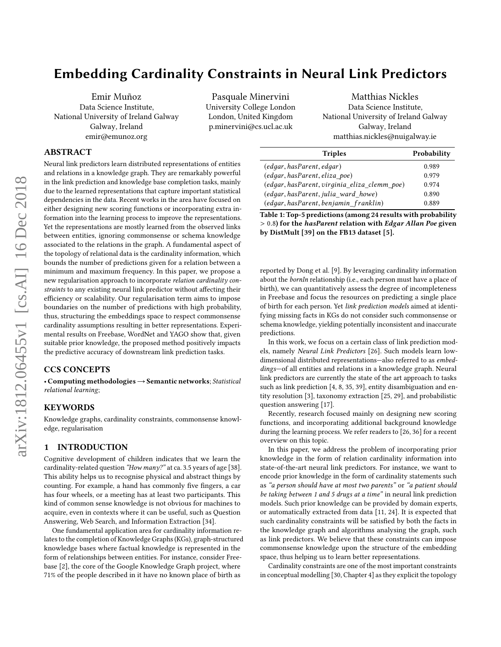Emir Muñoz Data Science Institute, National University of Ireland Galway Galway, Ireland emir@emunoz.org

Pasquale Minervini University College London London, United Kingdom p.minervini@cs.ucl.ac.uk

Matthias Nickles Data Science Institute, National University of Ireland Galway Galway, Ireland matthias.nickles@nuigalway.ie

# ABSTRACT

Neural link predictors learn distributed representations of entities and relations in a knowledge graph. They are remarkably powerful in the link prediction and knowledge base completion tasks, mainly due to the learned representations that capture important statistical dependencies in the data. Recent works in the area have focused on either designing new scoring functions or incorporating extra information into the learning process to improve the representations. Yet the representations are mostly learned from the observed links between entities, ignoring commonsense or schema knowledge associated to the relations in the graph. A fundamental aspect of the topology of relational data is the cardinality information, which bounds the number of predictions given for a relation between a minimum and maximum frequency. In this paper, we propose a new regularisation approach to incorporate relation cardinality constraints to any existing neural link predictor without affecting their efficiency or scalability. Our regularisation term aims to impose boundaries on the number of predictions with high probability, thus, structuring the embeddings space to respect commonsense cardinality assumptions resulting in better representations. Experimental results on Freebase, WordNet and YAGO show that, given suitable prior knowledge, the proposed method positively impacts the predictive accuracy of downstream link prediction tasks.

## CCS CONCEPTS

• Computing methodologies→Semantic networks; Statistical relational learning;

#### **KEYWORDS**

Knowledge graphs, cardinality constraints, commonsense knowledge, regularisation

#### 1 INTRODUCTION

Cognitive development of children indicates that we learn the cardinality-related question "How many?" at ca. 3.5 years of age [\[38\]](#page-7-0). This ability helps us to recognise physical and abstract things by counting. For example, a hand has commonly five fingers, a car has four wheels, or a meeting has at least two participants. This kind of common sense knowledge is not obvious for machines to acquire, even in contexts where it can be useful, such as Question Answering, Web Search, and Information Extraction [\[34\]](#page-7-1).

One fundamental application area for cardinality information relates to the completion of Knowledge Graphs (KGs), graph-structured knowledge bases where factual knowledge is represented in the form of relationships between entities. For instance, consider Freebase [\[2\]](#page-6-0), the core of the Google Knowledge Graph project, where 71% of the people described in it have no known place of birth as

<span id="page-0-0"></span>

| Probability |
|-------------|
| 0.989       |
| 0.979       |
| 0.974       |
| 0.890       |
| 0.889       |
|             |

 $> 0.8$ ) for the *hasParent* relation with *Edgar Allan Poe given* by DistMult [\[39\]](#page-7-2) on the FB13 dataset [\[5\]](#page-7-3).

reported by Dong et al. [\[9\]](#page-7-4). By leveraging cardinality information about the bornIn relationship (i.e., each person must have a place of birth), we can quantitatively assess the degree of incompleteness in Freebase and focus the resources on predicting a single place of birth for each person. Yet link prediction models aimed at identifying missing facts in KGs do not consider such commonsense or schema knowledge, yielding potentially inconsistent and inaccurate predictions.

In this work, we focus on a certain class of link prediction models, namely Neural Link Predictors [\[26\]](#page-7-5). Such models learn lowdimensional distributed representations—also referred to as embeddings—of all entities and relations in a knowledge graph. Neural link predictors are currently the state of the art approach to tasks such as link prediction [\[4,](#page-7-6) [8,](#page-7-7) [35,](#page-7-8) [39\]](#page-7-2), entity disambiguation and entity resolution [\[3\]](#page-6-1), taxonomy extraction [\[25,](#page-7-9) [29\]](#page-7-10), and probabilistic question answering [\[17\]](#page-7-11).

Recently, research focused mainly on designing new scoring functions, and incorporating additional background knowledge during the learning process. We refer readers to [\[26,](#page-7-5) [36\]](#page-7-12) for a recent overview on this topic.

In this paper, we address the problem of incorporating prior knowledge in the form of relation cardinality information into state-of-the-art neural link predictors. For instance, we want to encode prior knowledge in the form of cardinality statements such as "a person should have at most two parents" or "a patient should be taking between 1 and 5 drugs at a time" in neural link prediction models. Such prior knowledge can be provided by domain experts, or automatically extracted from data [\[11,](#page-7-13) [24\]](#page-7-14). It is expected that such cardinality constraints will be satisfied by both the facts in the knowledge graph and algorithms analysing the graph, such as link predictors. We believe that these constraints can impose commonsense knowledge upon the structure of the embedding space, thus helping us to learn better representations.

Cardinality constraints are one of the most important constraints in conceptual modelling [\[30,](#page-7-15) Chapter 4] as they explicit the topology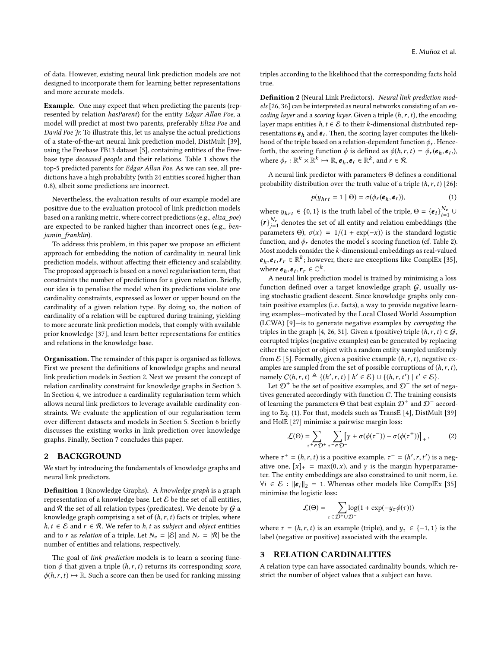of data. However, existing neural link prediction models are not designed to incorporate them for learning better representations and more accurate models.

Example. One may expect that when predicting the parents (represented by relation hasParent) for the entity Edgar Allan Poe, a model will predict at most two parents, preferably Eliza Poe and David Poe Jr. To illustrate this, let us analyse the actual predictions of a state-of-the-art neural link prediction model, DistMult [\[39\]](#page-7-2), using the Freebase FB13 dataset [\[5\]](#page-7-3), containing entities of the Freebase type deceased people and their relations. Table [1](#page-0-0) shows the top-5 predicted parents for Edgar Allan Poe. As we can see, all predictions have a high probability (with 24 entities scored higher than <sup>0</sup>.8), albeit some predictions are incorrect.

Nevertheless, the evaluation results of our example model are positive due to the evaluation protocol of link prediction models based on a ranking metric, where correct predictions (e.g., eliza\_poe) are expected to be ranked higher than incorrect ones (e.g., benjamin franklin).

To address this problem, in this paper we propose an efficient approach for embedding the notion of cardinality in neural link prediction models, without affecting their efficiency and scalability. The proposed approach is based on a novel regularisation term, that constraints the number of predictions for a given relation. Briefly, our idea is to penalise the model when its predictions violate one cardinality constraints, expressed as lower or upper bound on the cardinality of a given relation type. By doing so, the notion of cardinality of a relation will be captured during training, yielding to more accurate link prediction models, that comply with available prior knowledge [\[37\]](#page-7-16), and learn better representations for entities and relations in the knowledge base.

Organisation. The remainder of this paper is organised as follows. First we present the definitions of knowledge graphs and neural link prediction models in Section [2.](#page-1-0) Next we present the concept of relation cardinality constraint for knowledge graphs in Section [3.](#page-1-1) In Section [4,](#page-2-0) we introduce a cardinality regularisation term which allows neural link predictors to leverage available cardinality constraints. We evaluate the application of our regularisation term over different datasets and models in Section [5.](#page-3-0) Section [6](#page-6-2) briefly discusses the existing works in link prediction over knowledge graphs. Finally, Section [7](#page-6-3) concludes this paper.

#### <span id="page-1-0"></span>**BACKGROUND**

We start by introducing the fundamentals of knowledge graphs and neural link predictors.

Definition 1 (Knowledge Graphs). A knowledge graph is a graph representation of a knowledge base. Let  $\mathcal E$  be the set of all entities, and  $R$  the set of all relation types (predicates). We denote by  $G$  a knowledge graph comprising a set of  $(h, r, t)$  facts or triples, where  $h, t$  ∈  $E$  and  $r \in \mathcal{R}$ . We refer to  $h, t$  as *subject* and *object* entities and to r as relation of a triple. Let  $N_e = |\mathcal{E}|$  and  $N_r = |\mathcal{R}|$  be the number of entities and relations, respectively.

The goal of *link prediction* models is to learn a scoring function  $\phi$  that given a triple  $(h, r, t)$  returns its corresponding score,  $\phi(h, r, t) \mapsto \mathbb{R}$ . Such a score can then be used for ranking missing

triples according to the likelihood that the corresponding facts hold true.

Definition 2 (Neural Link Predictors). Neural link prediction models [\[26,](#page-7-5) [36\]](#page-7-12) can be interpreted as neural networks consisting of an encoding layer and a scoring layer. Given a triple  $(h, r, t)$ , the encoding layer maps entities  $h, t \in \mathcal{E}$  to their k-dimensional distributed representations  $e_h$  and  $e_t$ . Then, the scoring layer computes the likeli-<br>hood of the triple based on a relation-dependent function  $\phi$ . Hencehood of the triple based on a relation-dependent function  $\phi_r$ . Henceforth, the scoring function  $\phi$  is defined as  $\phi(h, r, t) = \phi_r(e_h, e_t)$ ,<br>where  $\phi : \mathbb{R}^k \times \mathbb{R}^k \to \mathbb{R}$  as  $e_t \in \mathbb{R}^k$  and  $r \in \mathcal{P}$ where  $\phi_r : \mathbb{R}^k \times \mathbb{R}^k \mapsto \mathbb{R}, \mathbf{e}_h, \mathbf{e}_t \in \mathbb{R}^k$ , and  $r \in \mathcal{R}$ .

A neural link predictor with parameters Θ defines a conditional probability distribution over the truth value of a triple  $(h, r, t)$  [\[26\]](#page-7-5):

<span id="page-1-2"></span>
$$
p(y_{hrt} = 1 | \Theta) = \sigma(\phi_r(\boldsymbol{e}_h, \boldsymbol{e}_t)),
$$
\n(1)

where  $y_{hrt} \in \{0, 1\}$  is the truth label of the triple,  $\Theta = \{e_i\}_{i=1}^{N_e} \cup$  ${r}_{j=1}^{N_r}$  denotes the set of all entity and relation embeddings (the  $j_{j=1}$  denotes the set of all entity and relation embeddings (the parameters  $\Theta$ ),  $\sigma(x) = 1/(1 + \exp(-x))$  is the standard logistic function and  $\phi$ , denotes the model's scoring function (of Toble 2). function, and  $\phi_r$  denotes the model's scoring function (cf. Table [2\)](#page-2-1). Most models consider the k-dimensional embeddings as real-valued where  $e_h$ ,  $e_t$ ,  $r_r \in \mathbb{C}^k$ .<br>A neural link predi  $r_r \in \mathbb{R}^k$ ; however, there are exceptions like ComplEx [\[35\]](#page-7-8),

A neural link prediction model is trained by minimising a loss function defined over a target knowledge graph  $G$ , usually using stochastic gradient descent. Since knowledge graphs only contain positive examples (i.e. facts), a way to provide negative learning examples—motivated by the Local Closed World Assumption (LCWA) [\[9\]](#page-7-4)—is to generate negative examples by corrupting the triples in the graph [\[4,](#page-7-6) [26,](#page-7-5) [31\]](#page-7-17). Given a (positive) triple  $(h, r, t) \in G$ , corrupted triples (negative examples) can be generated by replacing either the subject or object with a random entity sampled uniformly from  $\mathcal{E}$  [\[5\]](#page-7-3). Formally, given a positive example  $(h, r, t)$ , negative examples are sampled from the set of possible corruptions of  $(h, r, t)$ , namely  $C(h, r, t) \triangleq \{(h', r, t) \mid h' \in \mathcal{E}\} \cup \{(h, r, t') \mid t' \in \mathcal{E}\}.$ <br>Let  $\mathcal{D}^+$  be the set of positive examples and  $\mathcal{D}^-$  the set of

Let  $\mathcal{D}^+$  be the set of positive examples, and  $\mathcal{D}^-$  the set of negatives generated accordingly with function C. The training consists of learning the parameters  $\Theta$  that best explain  $\mathcal{D}^+$  and  $\mathcal{D}^-$  according to Eq. [\(1\)](#page-1-2). For that, models such as TransE [\[4\]](#page-7-6), DistMult [\[39\]](#page-7-2) and HolE [\[27\]](#page-7-18) minimise a pairwise margin loss:

$$
\mathcal{L}(\Theta) = \sum_{\tau^+ \in \mathcal{D}^+} \sum_{\tau^- \in \mathcal{D}^-} \left[ \gamma + \sigma(\phi(\tau^-)) - \sigma(\phi(\tau^+)) \right]_+, \tag{2}
$$

where  $\tau^+ = (h, r, t)$  is a positive example,  $\tau^- = (h', r, t')$  is a negative one  $[x] = \max(0, x)$  and  $y$  is the margin hyperparameter ative one,  $[x]_+ = \max(0, x)$ , and  $\gamma$  is the margin hyperparame-<br>ter The entity embeddings are also constrained to unit norm i.e. ter. The entity embeddings are also constrained to unit norm, i.e.  $\forall i \in \mathcal{E} : ||\mathbf{e}_i||_2 = 1$ . Whereas other models like ComplEx [\[35\]](#page-7-8) minimise the logistic loss:

$$
\mathcal{L}(\Theta) = \sum_{\tau \in \mathcal{D}^+ \cup \mathcal{D}^-} \log(1 + \exp(-y_\tau \phi(\tau)))
$$

where  $\tau = (h, r, t)$  is an example (triple), and  $y_\tau \in \{-1, 1\}$  is the label (negative or positive) associated with the example.

#### <span id="page-1-1"></span>3 RELATION CARDINALITIES

A relation type can have associated cardinality bounds, which restrict the number of object values that a subject can have.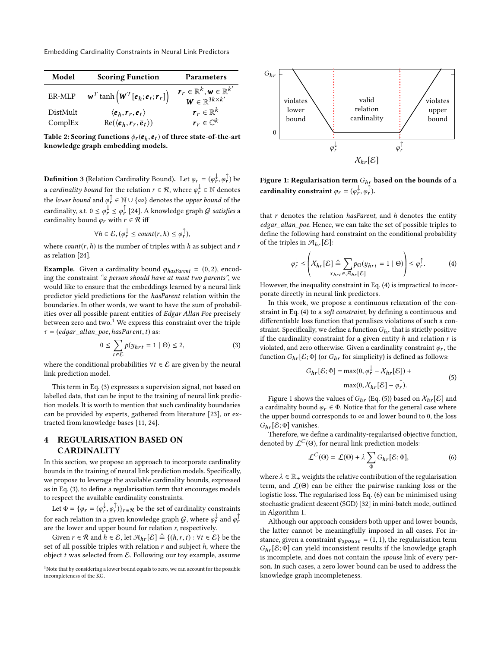<span id="page-2-1"></span>

| Model    | <b>Scoring Function</b>                                                                   | <b>Parameters</b>                                                                  |
|----------|-------------------------------------------------------------------------------------------|------------------------------------------------------------------------------------|
| ER-MLP   | $\mathbf{w}^T$ tanh $\left(\mathbf{W}^T[\mathbf{e}_h; \mathbf{e}_t; \mathbf{r}_r]\right)$ | $r_r \in \mathbb{R}^k, w \in \mathbb{R}^{k'}$<br>$W \in \mathbb{R}^{3k \times k'}$ |
| DistMult | $\langle e_h, r_r, e_t \rangle$                                                           | $\bm{r}_r \in \mathbb{R}^k$                                                        |
| ComplEx  | $\text{Re}(\langle \boldsymbol{e}_h, \boldsymbol{r}_r, \boldsymbol{\bar{e}}_t \rangle)$   | $r_r \in \mathbb{C}^k$                                                             |
|          |                                                                                           |                                                                                    |

Table 2: Scoring functions  $\phi_r(\mathbf{e}_h, \mathbf{e}_t)$  of three state-of-the-art knowledge graph embedding models.

**Definition 3** (Relation Cardinality Bound). Let  $\varphi_r = (\varphi_r^{\downarrow}, \varphi_r^{\uparrow})$  be a cardinality bound for the relation  $r \in \mathcal{R}$ , where  $\varphi_r^{\downarrow} \in \mathbb{N}$  denotes the *lower bound* and  $\varphi_r^{\uparrow} \in \mathbb{N} \cup \{\infty\}$  denotes the *upper bound* of the continuity of  $\varphi_r^{\uparrow} \in \mathbb{N} \cup \{\infty\}$  denotes the *upper bound* of the cardinality, s.t.  $0 \le \varphi_r^{\frac{1}{r}} \le \varphi_r^{\uparrow}$  [\[24\]](#page-7-14). A knowledge graph  $G$  satisfies a<br>cardinality bound  $\varphi_r$  with  $r \in \mathcal{R}$  iff cardinality bound  $\varphi_r$  with  $r \in \mathcal{R}$  iff

$$
\forall h \in \mathcal{E}, (\varphi_r^{\downarrow} \leq \text{count}(r, h) \leq \varphi_r^{\uparrow}),
$$

where *count*(*r*, *h*) is the number of triples with *h* as subject and *r* as relation [24] as relation [\[24\]](#page-7-14).

**Example.** Given a cardinality bound  $\varphi_{hasParent} = (0, 2)$ , encoding the constraint "a person should have at most two parents", we would like to ensure that the embeddings learned by a neural link predictor yield predictions for the hasParent relation within the boundaries. In other words, we want to have the sum of probabilities over all possible parent entities of Edgar Allan Poe precisely between zero and two. $1$  We express this constraint over the triple  $\tau = (edgar\_allan\_poe,hasParent, t)$  as:

<span id="page-2-3"></span>
$$
0 \le \sum_{t \in \mathcal{E}} p(y_{hrt} = 1 \mid \Theta) \le 2,\tag{3}
$$

where the conditional probabilities  $\forall t \in \mathcal{E}$  are given by the neural link prediction model link prediction model.

This term in Eq. [\(3\)](#page-2-3) expresses a supervision signal, not based on labelled data, that can be input to the training of neural link prediction models. It is worth to mention that such cardinality boundaries can be provided by experts, gathered from literature [\[23\]](#page-7-19), or extracted from knowledge bases [\[11,](#page-7-13) [24\]](#page-7-14).

## <span id="page-2-0"></span>4 REGULARISATION BASED ON CARDINALITY

In this section, we propose an approach to incorporate cardinality bounds in the training of neural link prediction models. Specifically, we propose to leverage the available cardinality bounds, expressed as in Eq. [\(3\)](#page-2-3), to define a regularisation term that encourages models to respect the available cardinality constraints.

Let  $\Phi = {\varphi_r = (\varphi_r^{\perp}, \varphi_r^{\uparrow})}_r \in \mathcal{R}$  be the set of cardinality constraints for each relation in a given knowledge graph G, where  $\varphi_r^{\downarrow}$  and  $\varphi_r^{\uparrow}$ <br>are the lower and upper bound for relation r respectively. are the lower and upper bound for relation r, respectively.

Given  $r \in \mathcal{R}$  and  $h \in \mathcal{E}$ , let  $\mathcal{A}_{hr}[\mathcal{E}] \triangleq \{(h, r, t) : \forall t \in \mathcal{E}\}\)$  be the set of all possible triples with relation  $r$  and subject  $h$ , where the object  $t$  was selected from  $\mathcal E$ . Following our toy example, assume

<span id="page-2-2"></span>

<span id="page-2-5"></span>

Figure 1: Regularisation term  $G_{hr}$  based on the bounds of a cardinality constraint  $\varphi_r = (\varphi_r^{\downarrow})$  $\frac{1}{\sqrt{2}}$ ↑ ).

that  $r$  denotes the relation has Parent, and  $h$  denotes the entity edgar\_allan\_poe. Hence, we can take the set of possible triples to define the following hard constraint on the conditional probability of the triples in  $\mathcal{A}_{hr}[\mathcal{E}].$ 

<span id="page-2-4"></span>
$$
\varphi_r^{\downarrow} \le \left( X_{hr}[\mathcal{E}] \triangleq \sum_{x_{hr}} p_{\Theta}(y_{hrt} = 1 \mid \Theta) \right) \le \varphi_r^{\uparrow}.
$$
 (4)

However, the inequality constraint in Eq. [\(4\)](#page-2-4) is impractical to incorporate directly in neural link predictors.

In this work, we propose a continuous relaxation of the constraint in Eq. [\(4\)](#page-2-4) to a soft constraint, by defining a continuous and differentiable loss function that penalises violations of such a constraint. Specifically, we define a function  $G_{hr}$  that is strictly positive if the cardinality constraint for a given entity  $h$  and relation  $r$  is violated, and zero otherwise. Given a cardinality constraint  $\varphi_r$ , the function  $G_{hr}[\mathcal{E}; \Phi]$  (or  $G_{hr}$  for simplicity) is defined as follows:

<span id="page-2-6"></span>
$$
G_{hr}[\mathcal{E}; \Phi] = \max(0, \varphi_r^{\downarrow} - X_{hr}[\mathcal{E}]) +
$$

$$
\max(0, X_{hr}[\mathcal{E}] - \varphi_r^{\uparrow}).
$$
 (5)

Figure [1](#page-2-5) shows the values of  $G_{hr}$  (Eq. [\(5\)](#page-2-6)) based on  $X_{hr}[\mathcal{E}]$  and ordinality bound  $\mathcal{E}$  = 6. Notice that for the general case where a cardinality bound  $\varphi_r \in \Phi$ . Notice that for the general case where the upper bound corresponds to  $\infty$  and lower bound to 0, the loss  $G_{hr}[\mathcal{E};\Phi]$  vanishes.

Therefore, we define a cardinality-regularised objective function, denoted by  $\mathcal{L}^C(\Theta)$ , for neural link prediction models:

<span id="page-2-7"></span>
$$
\mathcal{L}^C(\Theta) = \mathcal{L}(\Theta) + \lambda \sum_{\Phi} G_{hr}[\mathcal{E}; \Phi],
$$
 (6)

where  $\lambda \in \mathbb{R}_+$  weights the relative contribution of the regularisation<br>term, and  $f(\Theta)$  can be either the pairwise ranking loss or the term, and  $\mathcal{L}(\Theta)$  can be either the pairwise ranking loss or the logistic loss. The regularised loss Eq. [\(6\)](#page-2-7) can be minimised using stochastic gradient descent (SGD) [\[32\]](#page-7-20) in mini-batch mode, outlined in Algorithm [1.](#page-3-1)

Although our approach considers both upper and lower bounds, the latter cannot be meaningfully imposed in all cases. For instance, given a constraint  $\varphi_{spouse} = (1, 1)$ , the regularisation term  $G_{hr}[\mathcal{E};\Phi]$  can yield inconsistent results if the knowledge graph is incomplete, and does not contain the spouse link of every person. In such cases, a zero lower bound can be used to address the knowledge graph incompleteness.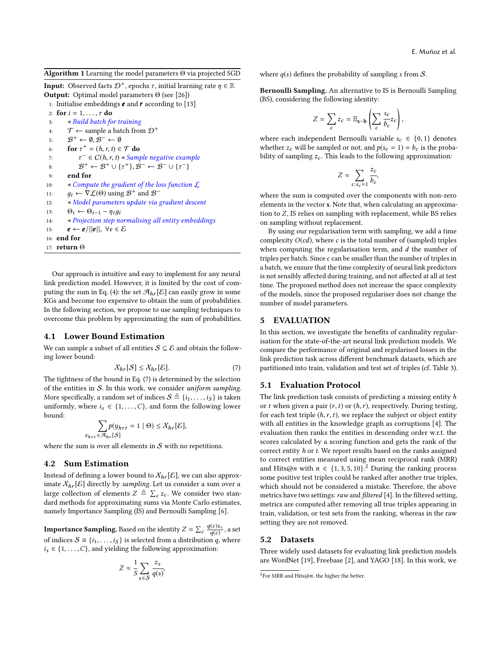<span id="page-3-1"></span>Algorithm 1 Learning the model parameters Θ via projected SGD

**Input:** Observed facts  $\mathcal{D}^+$ , epochs  $\tau$ , initial learning rate  $\eta \in \mathbb{R}$ Output: Optimal model parameters Θ (see [\[26\]](#page-7-5))

```
1: Initialise embeddings e and r[13]
  2: for i = 1, ..., \tau do<br>3: \rightarrow Build batch fo
  3: \triangleleft Suild batch for training<br>4: \mathcal{T} \leftarrow sample a batch from
                \mathcal{T} \leftarrow sample a batch from \mathcal{D}^+5: B^+ \leftarrow \emptyset, B^- \leftarrow \emptyset<br>
\begin{array}{ll} \text{for } \tau^+ = (b, r, t) \in \mathbb{R} \end{array}6: for \tau^+ = (h, r, t) \in \mathcal{T} do \tau^- \in C(h, r, t) \in \mathcal{S}am
   7: τ
                         \tau^- \in C(h, r, t) ⊲ Sample negative example
   8: B^+ \leftarrow \overline{B}^+ \cup \{\tau^+\}, \overline{B}^- \leftarrow \overline{B}^- \cup \{\tau^-\}9: end for
10: \triangleleft Compute the gradient of the loss function \angle<br>11: q_i \leftarrow \nabla \mathcal{L}(\Theta) using \mathcal{B}^+ and \mathcal{B}^-11: g_i \leftarrow \nabla \mathcal{L}(\Theta) using \mathcal{B}^+ and \mathcal{B}^-<br>12. A Model parameters undate via
12: \triangleleft Model parameters update via gradient descent<br>13: \Theta_i \leftarrow \Theta_{i-1} - n_i a_i13: \Theta_i \leftarrow \Theta_{i-1} - \eta_i g_i<br>14: \triangleleft \text{Projection step no}14: \triangleleft Projection step normalising all entity embeddings<br>15: \mathbf{e} \leftarrow \mathbf{e}/||\mathbf{e}||, \forall e \in \mathcal{E}e \leftarrow e / ||e||, \ \forall e \in \mathcal{E}16: end for
17: return Θ
```
Our approach is intuitive and easy to implement for any neural link prediction model. However, it is limited by the cost of com-puting the sum in Eq. [\(4\)](#page-2-4): the set  $\mathcal{A}_{hr}[\mathcal{E}]$  can easily grow in some KGs and become too expensive to obtain the sum of probabilities. In the following section, we propose to use sampling techniques to

#### 4.1 Lower Bound Estimation

We can sample a subset of all entities  $S \subseteq \mathcal{E}$  and obtain the following lower bound:

overcome this problem by approximating the sum of probabilities.

<span id="page-3-2"></span>
$$
\chi_{hr}[S] \le \chi_{hr}[\mathcal{E}].\tag{7}
$$

 $X_{hr}[S] \le X_{hr}[\mathcal{E}].$ <br>The tightness of the bound in Eq. [\(7\)](#page-3-2) is determined by the selection of the entities in  $S$ . In this work, we consider *uniform sampling*. More specifically, a random set of indices  $S \triangleq \{i_1, \ldots, i_S\}$  is taken uniformly, where  $i_s \in \{1, \ldots, C\}$ , and form the following lower bound:

$$
\sum_{x_{hrt} \in \mathcal{A}_{hr}[S]} p(y_{hrt} = 1 \mid \Theta) \le \chi_{hr}[\mathcal{E}],
$$

where the sum is over all elements in  $S$  with no repetitions.

#### 4.2 Sum Estimation

Instead of defining a lower bound to  $\mathcal{X}_{hr}[\mathcal{E}]$  , we can also approximate  $X_{hr}[\mathcal{E}]$  directly by sampling. Let us consider a sum over a large collection of elements  $Z \triangleq \sum_{c} z_c$ . We consider two stan-<br>dard methods for approximating sums via Monte Carlo estimates dard methods for approximating sums via Monte Carlo estimates, namely Importance Sampling (IS) and Bernoulli Sampling [\[6\]](#page-7-22).

**Importance Sampling.** Based on the identity  $Z = \sum_{c} \frac{q(c)z_c}{q(c)}$ of indices  $S = \{i_1, \ldots, i_S\}$  is selected from a distribution q, where  $i \in \{1, \ldots, i_S\}$  and vielding the following approximation.  $\frac{q(c)z_c}{q(c)}$ , a set<br>n *a* where  $i_s \in \{1, \ldots, C\}$ , and yielding the following approximation:

$$
Z \approx \frac{1}{S} \sum_{s \in S} \frac{z_s}{q(s)},
$$

where  $q(s)$  defines the probability of sampling s from  $S$ .

Bernoulli Sampling. An alternative to IS is Bernoulli Sampling (BS), considering the following identity:

$$
Z = \sum_{c} z_c = \mathbb{E}_{\mathbf{s} \sim \mathbf{b}} \left( \sum_{c} \frac{s_c}{b_c} z_c \right),
$$

where each independent Bernoulli variable  $s_c \in \{0,1\}$  denotes<br>whether z, will be sampled or not and  $p(s-1) = h$  is the probawhether  $z_c$  will be sampled or not, and  $p(s_c = 1) = b_c$  is the probability of sampling  $z_c$ . This leads to the following approximation:

$$
Z \approx \sum_{c:s_c=1} \frac{z_c}{b_c},
$$

where the sum is computed over the components with non-zero elements in the vector s. Note that, when calculating an approximation to Z, IS relies on sampling with replacement, while BS relies on sampling without replacement.

By using our regularisation term with sampling, we add a time complexity  $O(cd)$ , where c is the total number of (sampled) triples when computing the regularisation term, and d the number of triples per batch. Since c can be smaller than the number of triples in a batch, we ensure that the time complexity of neural link predictors is not sensibly affected during training, and not affected at all at test time. The proposed method does not increase the space complexity of the models, since the proposed regulariser does not change the number of model parameters.

#### <span id="page-3-0"></span>5 EVALUATION

In this section, we investigate the benefits of cardinality regularisation for the state-of-the-art neural link prediction models. We compare the performance of original and regularised losses in the link prediction task across different benchmark datasets, which are partitioned into train, validation and test set of triples (cf. Table [3\)](#page-4-0).

#### 5.1 Evaluation Protocol

The link prediction task consists of predicting a missing entity h or t when given a pair  $(r, t)$  or  $(h, r)$ , respectively. During testing, for each test triple  $(h, r, t)$ , we replace the subject or object entity with all entities in the knowledge graph as corruptions [\[4\]](#page-7-6). The evaluation then ranks the entities in descending order w.r.t. the scores calculated by a scoring function and gets the rank of the correct entity  $h$  or  $t$ . We report results based on the ranks assigned to correct entities measured using mean reciprocal rank (MRR) and Hits@n with  $n \in \{1, 3, 5, 10\}$ . During the ranking process<br>some positive test triples could be ranked after another true triples some positive test triples could be ranked after another true triples, which should not be considered a mistake. Therefore, the above metrics have two settings: raw and filtered [\[4\]](#page-7-6). In the filtered setting, metrics are computed after removing all true triples appearing in train, validation, or test sets from the ranking, whereas in the raw setting they are not removed.

#### 5.2 Datasets

Three widely used datasets for evaluating link prediction models are WordNet [\[19\]](#page-7-23), Freebase [\[2\]](#page-6-0), and YAGO [\[18\]](#page-7-24). In this work, we

<span id="page-3-3"></span><sup>&</sup>lt;sup>2</sup>For MRR and Hits@n, the higher the better.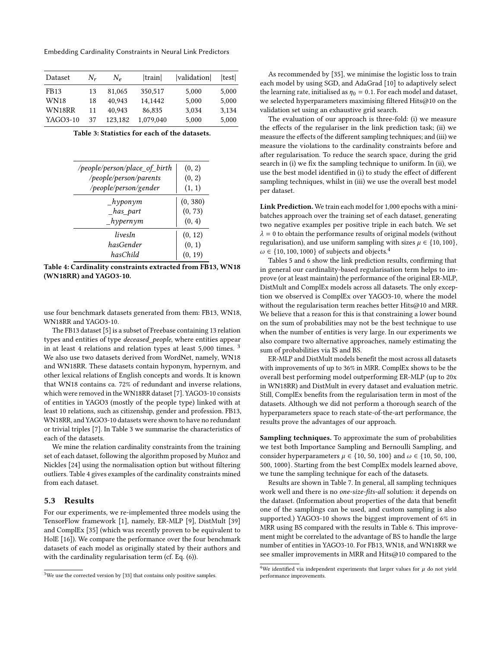<span id="page-4-0"></span>

| Dataset          | $N_r$ | $N_e$   | train     | validation | test  |
|------------------|-------|---------|-----------|------------|-------|
| FB <sub>13</sub> | 13    | 81.065  | 350,517   | 5.000      | 5,000 |
| <b>WN18</b>      | 18    | 40.943  | 14.1442   | 5,000      | 5.000 |
| WN18RR           | 11    | 40.943  | 86,835    | 3,034      | 3,134 |
| YAGO3-10         | 37    | 123.182 | 1,079,040 | 5,000      | 5,000 |

|  |  | Table 3: Statistics for each of the datasets. |  |  |  |  |  |
|--|--|-----------------------------------------------|--|--|--|--|--|
|--|--|-----------------------------------------------|--|--|--|--|--|

<span id="page-4-2"></span>

| /people/person/place of birth | (0, 2)   |
|-------------------------------|----------|
| /people/person/parents        | (0, 2)   |
| /people/person/gender         | (1, 1)   |
| $_{\perp}$ hyponym            | (0, 380) |
| has part                      | (0, 73)  |
| $_{\perp}$ hypernym           | (0, 4)   |
| livesIn                       | (0, 12)  |
| hasGender                     | (0, 1)   |
| hasChild                      | (0, 19)  |

Table 4: Cardinality constraints extracted from FB13, WN18 (WN18RR) and YAGO3-10.

use four benchmark datasets generated from them: FB13, WN18, WN18RR and YAGO3-10.

The FB13 dataset [\[5\]](#page-7-3) is a subset of Freebase containing 13 relation types and entities of type deceased\_people, where entities appear in at least 4 relations and relation types at least 5,000 times. [3](#page-4-1) We also use two datasets derived from WordNet, namely, WN18 and WN18RR. These datasets contain hyponym, hypernym, and other lexical relations of English concepts and words. It is known that WN18 contains ca. 72% of redundant and inverse relations, which were removed in the WN18RR dataset [\[7\]](#page-7-25). YAGO3-10 consists of entities in YAGO3 (mostly of the people type) linked with at least 10 relations, such as citizenship, gender and profession. FB13, WN18RR, and YAGO3-10 datasets were shown to have no redundant or trivial triples [\[7\]](#page-7-25). In Table [3](#page-4-0) we summarise the characteristics of each of the datasets.

We mine the relation cardinality constraints from the training set of each dataset, following the algorithm proposed by Muñoz and Nickles [\[24\]](#page-7-14) using the normalisation option but without filtering outliers. Table [4](#page-4-2) gives examples of the cardinality constraints mined from each dataset.

#### 5.3 Results

For our experiments, we re-implemented three models using the TensorFlow framework [\[1\]](#page-6-4), namely, ER-MLP [\[9\]](#page-7-4), DistMult [\[39\]](#page-7-2) and ComplEx [\[35\]](#page-7-8) (which was recently proven to be equivalent to HolE [\[16\]](#page-7-26)). We compare the performance over the four benchmark datasets of each model as originally stated by their authors and with the cardinality regularisation term (cf. Eq. [\(6\)](#page-2-7)).

As recommended by [\[35\]](#page-7-8), we minimise the logistic loss to train each model by using SGD, and AdaGrad [\[10\]](#page-7-28) to adaptively select the learning rate, initialised as  $\eta_0 = 0.1$ . For each model and dataset, we selected hyperparameters maximising filtered Hits@10 on the validation set using an exhaustive grid search.

The evaluation of our approach is three-fold: (i) we measure the effects of the regulariser in the link prediction task; (ii) we measure the effects of the different sampling techniques; and (iii) we measure the violations to the cardinality constraints before and after regularisation. To reduce the search space, during the grid search in (i) we fix the sampling technique to uniform. In (ii), we use the best model identified in (i) to study the effect of different sampling techniques, whilst in (iii) we use the overall best model per dataset.

Link Prediction. We train each model for 1,000 epochs with a minibatches approach over the training set of each dataset, generating two negative examples per positive triple in each batch. We set  $\lambda = 0$  to obtain the performance results of original models (without regularisation), and use uniform sampling with sizes  $\mu \in \{10, 100\}$ ,  $\omega \in \{10, 100, 1000\}$  of subjects and objects.<sup>[4](#page-4-3)</sup>

Tables [5](#page-5-0) and [6](#page-5-1) show the link prediction results, confirming that in general our cardinality-based regularisation term helps to improve (or at least maintain) the performance of the original ER-MLP, DistMult and ComplEx models across all datasets. The only exception we observed is ComplEx over YAGO3-10, where the model without the regularisation term reaches better Hits@10 and MRR. We believe that a reason for this is that constraining a lower bound on the sum of probabilities may not be the best technique to use when the number of entities is very large. In our experiments we also compare two alternative approaches, namely estimating the sum of probabilities via IS and BS.

ER-MLP and DistMult models benefit the most across all datasets with improvements of up to 36% in MRR. ComplEx shows to be the overall best performing model outperforming ER-MLP (up to 20x in WN18RR) and DistMult in every dataset and evaluation metric. Still, ComplEx benefits from the regularisation term in most of the datasets. Although we did not perform a thorough search of the hyperparameters space to reach state-of-the-art performance, the results prove the advantages of our approach.

Sampling techniques. To approximate the sum of probabilities we test both Importance Sampling and Bernoulli Sampling, and consider hyperparameters  $\mu \in \{10, 50, 100\}$  and  $\omega \in \{10, 50, 100,$ <sup>500</sup>, <sup>1000</sup>}. Starting from the best ComplEx models learned above, we tune the sampling technique for each of the datasets.

Results are shown in Table [7.](#page-5-2) In general, all sampling techniques work well and there is no one-size-fits-all solution: it depends on the dataset. (Information about properties of the data that benefit one of the samplings can be used, and custom sampling is also supported.) YAGO3-10 shows the biggest improvement of 6% in MRR using BS compared with the results in Table [6.](#page-5-1) This improvement might be correlated to the advantage of BS to handle the large number of entities in YAGO3-10. For FB13, WN18, and WN18RR we see smaller improvements in MRR and Hits@10 compared to the

<span id="page-4-1"></span><sup>&</sup>lt;sup>3</sup>We use the corrected version by [\[33\]](#page-7-27) that contains only positive samples.

<span id="page-4-3"></span><sup>&</sup>lt;sup>4</sup>We identified via independent experiments that larger values for  $\mu$  do not yield performance improvements.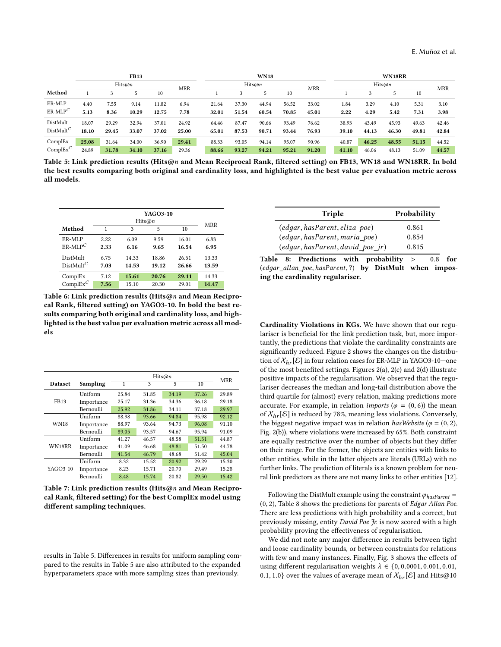<span id="page-5-0"></span>

|              | <b>FB13</b> |        |       |       |            | <b>WN18</b> |        |       |       |            |       |       | WN18RR |       |            |
|--------------|-------------|--------|-------|-------|------------|-------------|--------|-------|-------|------------|-------|-------|--------|-------|------------|
|              |             | Hits@n |       |       | <b>MRR</b> |             | Hits@n |       |       | <b>MRR</b> |       |       | Hits@n |       | <b>MRR</b> |
| Method       |             |        |       | 10    |            |             | 3      |       | 10    |            |       |       |        | 10    |            |
| ER-MLP       | 4.40        | 7.55   | 9.14  | 11.82 | 6.94       | 21.64       | 37.30  | 44.94 | 56.52 | 33.02      | 1.84  | 3.29  | 4.10   | 5.31  | 3.10       |
| $ER-MLPC$    | 5.13        | 8.36   | 10.29 | 12.75 | 7.78       | 32.01       | 51.54  | 60.54 | 70.85 | 45.01      | 2.22  | 4.29  | 5.42   | 7.31  | 3.98       |
| DistMult     | 18.07       | 29.29  | 32.94 | 37.01 | 24.92      | 64.46       | 87.47  | 90.66 | 93.49 | 76.62      | 38.93 | 43.49 | 45.93  | 49.63 | 42.46      |
| $DistMult^C$ | 18.10       | 29.45  | 33.07 | 37.02 | 25.00      | 65.01       | 87.53  | 90.71 | 93.44 | 76.93      | 39.10 | 44.13 | 46.30  | 49.81 | 42.84      |
| ComplEx      | 25.08       | 31.64  | 34.00 | 36.90 | 29.41      | 88.33       | 93.05  | 94.14 | 95.07 | 90.96      | 40.87 | 46.25 | 48.55  | 51.15 | 44.52      |
| $Complex^C$  | 24.89       | 31.78  | 34.10 | 37.16 | 29.36      | 88.66       | 93.27  | 94.21 | 95.21 | 91.20      | 41.10 | 46.06 | 48.13  | 51.09 | 44.57      |

Table 5: Link prediction results (Hits@n and Mean Reciprocal Rank, filtered setting) on FB13, WN18 and WN18RR. In bold the best results comparing both original and cardinality loss, and highlighted is the best value per evaluation metric across all models.

<span id="page-5-1"></span>

|              | YAGO3-10 |       |        |       |       |  |  |  |
|--------------|----------|-------|--------|-------|-------|--|--|--|
|              |          |       | Hits@n |       | MRR   |  |  |  |
| Method       | 1        | 3     | 5      | 10    |       |  |  |  |
| ER-MLP       | 2.22     | 6.09  | 9.59   | 16.01 | 6.83  |  |  |  |
| $ER-MLPC$    | 2.33     | 6.16  | 9.65   | 16.54 | 6.95  |  |  |  |
| DistMult     | 6.75     | 14.33 | 18.86  | 26.51 | 13.33 |  |  |  |
| $DistMult^C$ | 7.03     | 14.53 | 19.12  | 26.66 | 13.59 |  |  |  |
| ComplEx      | 7.12     | 15.61 | 20.76  | 29.11 | 14.33 |  |  |  |
| $Complex^C$  | 7.56     | 15.10 | 20.30  | 29.01 | 14.47 |  |  |  |

Table 6: Link prediction results (Hits@n and Mean Reciprocal Rank, filtered setting) on YAGO3-10. In bold the best results comparing both original and cardinality loss, and highlighted is the best value per evaluation metric across all models

<span id="page-5-2"></span>

|                |            |       | MRR   |       |       |       |
|----------------|------------|-------|-------|-------|-------|-------|
| <b>Dataset</b> | Sampling   | 1     | 3     | 5     | 10    |       |
|                | Uniform    | 25.84 | 31.85 | 34.19 | 37.26 | 29.89 |
| FB13           | Importance | 25.17 | 31.36 | 34.36 | 36.18 | 29.18 |
|                | Bernoulli  | 25.92 | 31.86 | 34.11 | 37.18 | 29.97 |
|                | Uniform    | 88.98 | 93.66 | 94.84 | 95.98 | 92.12 |
| <b>WN18</b>    | Importance | 88.97 | 93.64 | 94.73 | 96.08 | 91.10 |
|                | Bernoulli  | 89.05 | 93.57 | 94.67 | 95.94 | 91.09 |
|                | Uniform    | 41.27 | 46.57 | 48.58 | 51.51 | 44.87 |
| WN18RR         | Importance | 41.09 | 46.68 | 48.81 | 51.50 | 44.78 |
|                | Bernoulli  | 41.54 | 46.79 | 48.68 | 51.42 | 45.04 |
|                | Uniform    | 8.32  | 15.52 | 20.92 | 29.29 | 15.30 |
| YAGO3-10       | Importance | 8.23  | 15.71 | 20.70 | 29.49 | 15.28 |
|                | Bernoulli  | 8.48  | 15.74 | 20.82 | 29.50 | 15.42 |

Table 7: Link prediction results (Hits@n and Mean Reciprocal Rank, filtered setting) for the best ComplEx model using different sampling techniques.

results in Table [5.](#page-5-0) Differences in results for uniform sampling compared to the results in Table [5](#page-5-0) are also attributed to the expanded hyperparameters space with more sampling sizes than previously.

<span id="page-5-3"></span>

| <b>Triple</b>                      | Probability |
|------------------------------------|-------------|
| (edgar, has Parent, eliza poe)     | 0.861       |
| (edgar, hasParent, maria_poe)      | 0.854       |
| $(edgar, hasParent, david poe_jr)$ | 0.815       |
|                                    | .           |

Table 8: Predictions with probability  $> 0.8$  for  $(edaar, allan, hoe, haoParent, 2)$ , by DistMult when impos (edgar\_allan\_poe, hasParent, ?) by DistMult when imposing the cardinality regulariser.

Cardinality Violations in KGs. We have shown that our regulariser is beneficial for the link prediction task, but, more importantly, the predictions that violate the cardinality constraints are significantly reduced. Figure [2](#page-6-5) shows the changes on the distribution of  $X_{hr}[\mathcal{E}]$  in four relation cases for ER-MLP in YAGO3-10-one of the most benefited settings. Figures [2\(a\),](#page-6-6) [2\(c\)](#page-6-7) and [2\(d\)](#page-6-8) illustrate positive impacts of the regularisation. We observed that the regulariser decreases the median and long-tail distribution above the third quartile for (almost) every relation, making predictions more accurate. For example, in relation *imports* ( $\varphi = (0, 6)$ ) the mean of  $X_{hr}[\mathcal{E}]$  is reduced by 78%, meaning less violations. Conversely, the biggest negative impact was in relation hasWebsite ( $\varphi = (0, 2)$ , Fig. [2\(b\)\)](#page-6-9), where violations were increased by 65%. Both constraint are equally restrictive over the number of objects but they differ on their range. For the former, the objects are entities with links to other entities, while in the latter objects are literals (URLs) with no further links. The prediction of literals is a known problem for neural link predictors as there are not many links to other entities [\[12\]](#page-7-29).

Following the DistMult example using the constraint  $\varphi_{hasParent} =$ (0, <sup>2</sup>), Table [8](#page-5-3) shows the predictions for parents of Edgar Allan Poe. There are less predictions with high probability and a correct, but previously missing, entity David Poe Jr. is now scored with a high probability proving the effectiveness of regularisation.

We did not note any major difference in results between tight and loose cardinality bounds, or between constraints for relations with few and many instances. Finally, Fig. [3](#page-6-10) shows the effects of using different regularisation weights  $\lambda \in \{0, 0.0001, 0.001, 0.01,$ 0.1, 1.0} over the values of average mean of  $\chi_{hr}[\mathcal{E}]$  and Hits@10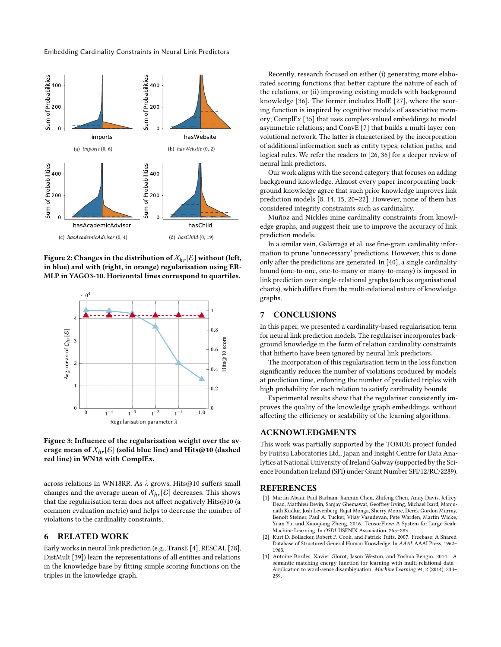<span id="page-6-7"></span><span id="page-6-6"></span><span id="page-6-5"></span>

<span id="page-6-8"></span>Figure 2: Changes in the distribution of  $\chi_{hr}[\mathcal{E}]$  without (left, in blue) and with (right, in orange) regularisation using ER-MLP in YAGO3-10. Horizontal lines correspond to quartiles.

<span id="page-6-10"></span>



across relations in WN18RR. As  $\lambda$  grows, Hits@10 suffers small changes and the average mean of  $X_{hr}[\mathcal{E}]$  decreases. This shows that the regularisation term does not affect negatively Hits@10 (a common evaluation metric) and helps to decrease the number of violations to the cardinality constraints.

#### <span id="page-6-2"></span>6 RELATED WORK

Early works in neural link prediction (e.g., TransE [\[4\]](#page-7-6), RESCAL [\[28\]](#page-7-30), DistMult [\[39\]](#page-7-2)) learn the representations of all entities and relations in the knowledge base by fitting simple scoring functions on the triples in the knowledge graph.

Recently, research focused on either (i) generating more elaborated scoring functions that better capture the nature of each of the relations, or (ii) improving existing models with background knowledge [\[36\]](#page-7-12). The former includes HolE [\[27\]](#page-7-18), where the scoring function is inspired by cognitive models of associative memory; ComplEx [\[35\]](#page-7-8) that uses complex-valued embeddings to model asymmetric relations; and ConvE [\[7\]](#page-7-25) that builds a multi-layer convolutional network. The latter is characterised by the incorporation of additional information such as entity types, relation paths, and logical rules. We refer the readers to [\[26,](#page-7-5) [36\]](#page-7-12) for a deeper review of neural link predictors.

<span id="page-6-9"></span>Our work aligns with the second category that focuses on adding background knowledge. Almost every paper incorporating background knowledge agree that such prior knowledge improves link prediction models [\[8,](#page-7-7) [14,](#page-7-31) [15,](#page-7-32) [20–](#page-7-33)[22\]](#page-7-34). However, none of them has considered integrity constraints such as cardinality.

[Muñoz and Nickles](#page-7-14) mine cardinality constraints from knowledge graphs, and suggest their use to improve the accuracy of link prediction models.

In a similar vein, [Galárraga et al.](#page-7-13) use fine-grain cardinality information to prune 'unnecessary' predictions. However, this is done only after the predictions are generated. In [\[40\]](#page-7-35), a single cardinality bound (one-to-one, one-to-many or many-to-many) is imposed in link prediction over single-relational graphs (such as organisational charts), which differs from the multi-relational nature of knowledge graphs.

## <span id="page-6-3"></span>7 CONCLUSIONS

In this paper, we presented a cardinality-based regularisation term for neural link prediction models. The regulariser incorporates background knowledge in the form of relation cardinality constraints that hitherto have been ignored by neural link predictors.

The incorporation of this regularisation term in the loss function significantly reduces the number of violations produced by models at prediction time, enforcing the number of predicted triples with high probability for each relation to satisfy cardinality bounds.

Experimental results show that the regulariser consistently improves the quality of the knowledge graph embeddings, without affecting the efficiency or scalability of the learning algorithms.

#### ACKNOWLEDGMENTS

This work was partially supported by the TOMOE project funded by Fujitsu Laboratories Ltd., Japan and Insight Centre for Data Analytics at National University of Ireland Galway (supported by the Science Foundation Ireland (SFI) under Grant Number SFI/12/RC/2289).

#### **REFERENCES**

- <span id="page-6-4"></span>[1] Martín Abadi, Paul Barham, Jianmin Chen, Zhifeng Chen, Andy Davis, Jeffrey Dean, Matthieu Devin, Sanjay Ghemawat, Geoffrey Irving, Michael Isard, Manjunath Kudlur, Josh Levenberg, Rajat Monga, Sherry Moore, Derek Gordon Murray, Benoit Steiner, Paul A. Tucker, Vijay Vasudevan, Pete Warden, Martin Wicke, Yuan Yu, and Xiaoqiang Zheng. 2016. TensorFlow: A System for Large-Scale Machine Learning. In OSDI. USENIX Association, 265–283.
- <span id="page-6-0"></span>[2] Kurt D. Bollacker, Robert P. Cook, and Patrick Tufts. 2007. Freebase: A Shared Database of Structured General Human Knowledge. In AAAI. AAAI Press, 1962– 1963.
- <span id="page-6-1"></span>[3] Antoine Bordes, Xavier Glorot, Jason Weston, and Yoshua Bengio. 2014. A semantic matching energy function for learning with multi-relational data - Application to word-sense disambiguation. Machine Learning 94, 2 (2014), 233– 259.